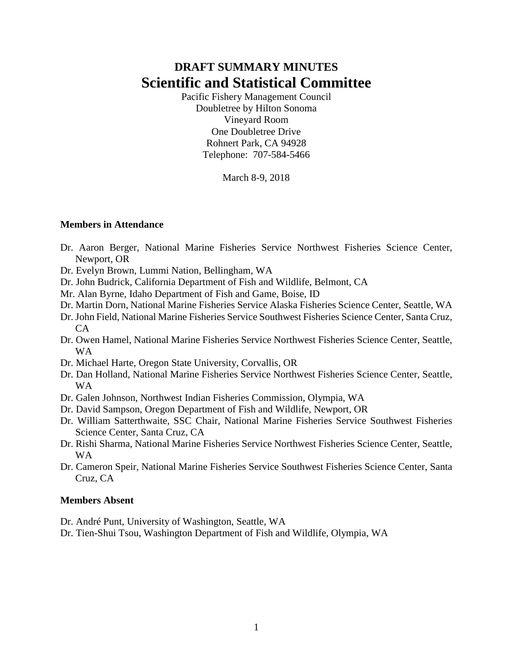# **DRAFT SUMMARY MINUTES Scientific and Statistical Committee**

Pacific Fishery Management Council Doubletree by Hilton Sonoma Vineyard Room One Doubletree Drive Rohnert Park, CA 94928 Telephone: 707-584-5466

March 8-9, 2018

### **Members in Attendance**

- Dr. Aaron Berger, National Marine Fisheries Service Northwest Fisheries Science Center, Newport, OR
- Dr. Evelyn Brown, Lummi Nation, Bellingham, WA
- Dr. John Budrick, California Department of Fish and Wildlife, Belmont, CA
- Mr. Alan Byrne, Idaho Department of Fish and Game, Boise, ID
- Dr. Martin Dorn, National Marine Fisheries Service Alaska Fisheries Science Center, Seattle, WA
- Dr. John Field, National Marine Fisheries Service Southwest Fisheries Science Center, Santa Cruz, CA
- Dr. Owen Hamel, National Marine Fisheries Service Northwest Fisheries Science Center, Seattle, WA
- Dr. Michael Harte, Oregon State University, Corvallis, OR
- Dr. Dan Holland, National Marine Fisheries Service Northwest Fisheries Science Center, Seattle, WA
- Dr. Galen Johnson, Northwest Indian Fisheries Commission, Olympia, WA
- Dr. David Sampson, Oregon Department of Fish and Wildlife, Newport, OR
- Dr. William Satterthwaite, SSC Chair, National Marine Fisheries Service Southwest Fisheries Science Center, Santa Cruz, CA
- Dr. Rishi Sharma, National Marine Fisheries Service Northwest Fisheries Science Center, Seattle, WA
- Dr. Cameron Speir, National Marine Fisheries Service Southwest Fisheries Science Center, Santa Cruz, CA

### **Members Absent**

Dr. André Punt, University of Washington, Seattle, WA

Dr. Tien-Shui Tsou, Washington Department of Fish and Wildlife, Olympia, WA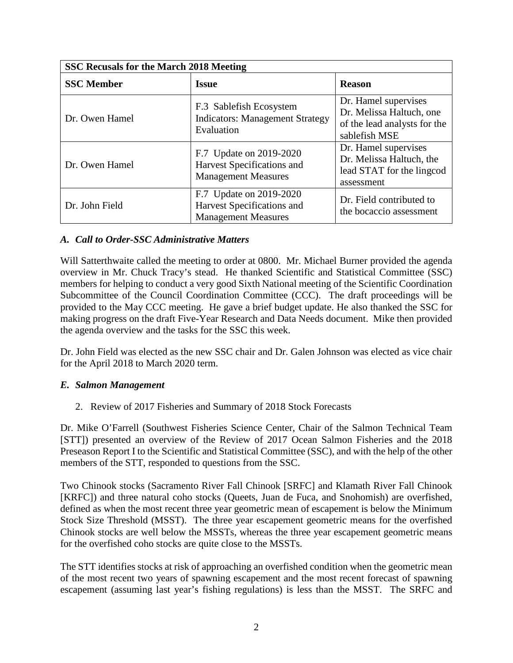| SSC Recusals for the March 2018 Meeting |                                                                                     |                                                                                                   |  |  |  |  |  |
|-----------------------------------------|-------------------------------------------------------------------------------------|---------------------------------------------------------------------------------------------------|--|--|--|--|--|
| <b>SSC Member</b>                       | <b>Issue</b>                                                                        | <b>Reason</b>                                                                                     |  |  |  |  |  |
| Dr. Owen Hamel                          | F.3 Sablefish Ecosystem<br><b>Indicators: Management Strategy</b><br>Evaluation     | Dr. Hamel supervises<br>Dr. Melissa Haltuch, one<br>of the lead analysts for the<br>sablefish MSE |  |  |  |  |  |
| Dr. Owen Hamel                          | F.7 Update on 2019-2020<br>Harvest Specifications and<br><b>Management Measures</b> | Dr. Hamel supervises<br>Dr. Melissa Haltuch, the<br>lead STAT for the lingcod<br>assessment       |  |  |  |  |  |
| Dr. John Field                          | F.7 Update on 2019-2020<br>Harvest Specifications and<br><b>Management Measures</b> | Dr. Field contributed to<br>the bocaccio assessment                                               |  |  |  |  |  |

### *A. Call to Order-SSC Administrative Matters*

Will Satterthwaite called the meeting to order at 0800. Mr. Michael Burner provided the agenda overview in Mr. Chuck Tracy's stead. He thanked Scientific and Statistical Committee (SSC) members for helping to conduct a very good Sixth National meeting of the Scientific Coordination Subcommittee of the Council Coordination Committee (CCC). The draft proceedings will be provided to the May CCC meeting. He gave a brief budget update. He also thanked the SSC for making progress on the draft Five-Year Research and Data Needs document. Mike then provided the agenda overview and the tasks for the SSC this week.

Dr. John Field was elected as the new SSC chair and Dr. Galen Johnson was elected as vice chair for the April 2018 to March 2020 term.

### *E. Salmon Management*

2. Review of 2017 Fisheries and Summary of 2018 Stock Forecasts

Dr. Mike O'Farrell (Southwest Fisheries Science Center, Chair of the Salmon Technical Team [STT]) presented an overview of the Review of 2017 Ocean Salmon Fisheries and the 2018 Preseason Report I to the Scientific and Statistical Committee (SSC), and with the help of the other members of the STT, responded to questions from the SSC.

Two Chinook stocks (Sacramento River Fall Chinook [SRFC] and Klamath River Fall Chinook [KRFC]) and three natural coho stocks (Queets, Juan de Fuca, and Snohomish) are overfished, defined as when the most recent three year geometric mean of escapement is below the Minimum Stock Size Threshold (MSST). The three year escapement geometric means for the overfished Chinook stocks are well below the MSSTs, whereas the three year escapement geometric means for the overfished coho stocks are quite close to the MSSTs.

The STT identifies stocks at risk of approaching an overfished condition when the geometric mean of the most recent two years of spawning escapement and the most recent forecast of spawning escapement (assuming last year's fishing regulations) is less than the MSST. The SRFC and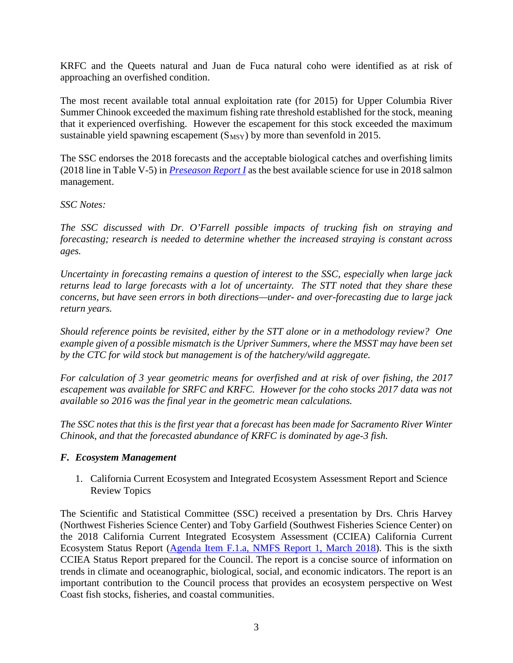KRFC and the Queets natural and Juan de Fuca natural coho were identified as at risk of approaching an overfished condition.

The most recent available total annual exploitation rate (for 2015) for Upper Columbia River Summer Chinook exceeded the maximum fishing rate threshold established for the stock, meaning that it experienced overfishing. However the escapement for this stock exceeded the maximum sustainable yield spawning escapement  $(S_{MSY})$  by more than sevenfold in 2015.

The SSC endorses the 2018 forecasts and the acceptable biological catches and overfishing limits (2018 line in Table V-5) in *[Preseason Report I](https://www.pcouncil.org/wp-content/uploads/2018/03/2018_Pre-I_Final_03012018.pdf)* as the best available science for use in 2018 salmon management.

*SSC Notes:*

*The SSC discussed with Dr. O'Farrell possible impacts of trucking fish on straying and forecasting; research is needed to determine whether the increased straying is constant across ages.*

*Uncertainty in forecasting remains a question of interest to the SSC, especially when large jack returns lead to large forecasts with a lot of uncertainty. The STT noted that they share these concerns, but have seen errors in both directions—under- and over-forecasting due to large jack return years.*

*Should reference points be revisited, either by the STT alone or in a methodology review? One example given of a possible mismatch is the Upriver Summers, where the MSST may have been set by the CTC for wild stock but management is of the hatchery/wild aggregate.* 

*For calculation of 3 year geometric means for overfished and at risk of over fishing, the 2017 escapement was available for SRFC and KRFC. However for the coho stocks 2017 data was not available so 2016 was the final year in the geometric mean calculations.*

*The SSC notes that this is the first year that a forecast has been made for Sacramento River Winter Chinook, and that the forecasted abundance of KRFC is dominated by age-3 fish.*

### *F. Ecosystem Management*

1. California Current Ecosystem and Integrated Ecosystem Assessment Report and Science Review Topics

The Scientific and Statistical Committee (SSC) received a presentation by Drs. Chris Harvey (Northwest Fisheries Science Center) and Toby Garfield (Southwest Fisheries Science Center) on the 2018 California Current Integrated Ecosystem Assessment (CCIEA) California Current Ecosystem Status Report [\(Agenda Item F.1.a, NMFS Report 1, March 2018\)](https://www.pcouncil.org/wp-content/uploads/2018/02/F1a_NMFS_Rpt1_2018_IEA_SoCC_FINAL_main_Mar2018BB.pdf). This is the sixth CCIEA Status Report prepared for the Council. The report is a concise source of information on trends in climate and oceanographic, biological, social, and economic indicators. The report is an important contribution to the Council process that provides an ecosystem perspective on West Coast fish stocks, fisheries, and coastal communities.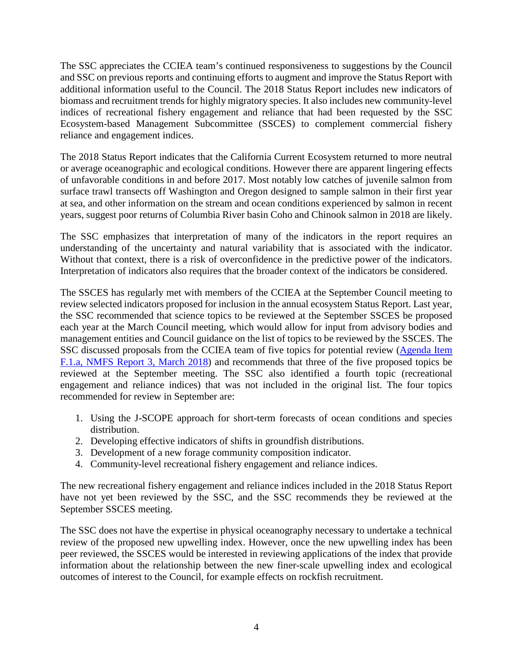The SSC appreciates the CCIEA team's continued responsiveness to suggestions by the Council and SSC on previous reports and continuing efforts to augment and improve the Status Report with additional information useful to the Council. The 2018 Status Report includes new indicators of biomass and recruitment trends for highly migratory species. It also includes new community-level indices of recreational fishery engagement and reliance that had been requested by the SSC Ecosystem-based Management Subcommittee (SSCES) to complement commercial fishery reliance and engagement indices.

The 2018 Status Report indicates that the California Current Ecosystem returned to more neutral or average oceanographic and ecological conditions. However there are apparent lingering effects of unfavorable conditions in and before 2017. Most notably low catches of juvenile salmon from surface trawl transects off Washington and Oregon designed to sample salmon in their first year at sea, and other information on the stream and ocean conditions experienced by salmon in recent years, suggest poor returns of Columbia River basin Coho and Chinook salmon in 2018 are likely.

The SSC emphasizes that interpretation of many of the indicators in the report requires an understanding of the uncertainty and natural variability that is associated with the indicator. Without that context, there is a risk of overconfidence in the predictive power of the indicators. Interpretation of indicators also requires that the broader context of the indicators be considered.

The SSCES has regularly met with members of the CCIEA at the September Council meeting to review selected indicators proposed for inclusion in the annual ecosystem Status Report. Last year, the SSC recommended that science topics to be reviewed at the September SSCES be proposed each year at the March Council meeting, which would allow for input from advisory bodies and management entities and Council guidance on the list of topics to be reviewed by the SSCES. The SSC discussed proposals from the CCIEA team of five topics for potential review [\(Agenda Item](https://www.pcouncil.org/wp-content/uploads/2018/02/F1a_NMFS_Rpt3_ecosystem_science_proposed_topics_020918_Mar2018BB.pdf)  [F.1.a, NMFS Report 3, March 2018\)](https://www.pcouncil.org/wp-content/uploads/2018/02/F1a_NMFS_Rpt3_ecosystem_science_proposed_topics_020918_Mar2018BB.pdf) and recommends that three of the five proposed topics be reviewed at the September meeting. The SSC also identified a fourth topic (recreational engagement and reliance indices) that was not included in the original list. The four topics recommended for review in September are:

- 1. Using the J-SCOPE approach for short-term forecasts of ocean conditions and species distribution.
- 2. Developing effective indicators of shifts in groundfish distributions.
- 3. Development of a new forage community composition indicator.
- 4. Community-level recreational fishery engagement and reliance indices.

The new recreational fishery engagement and reliance indices included in the 2018 Status Report have not yet been reviewed by the SSC, and the SSC recommends they be reviewed at the September SSCES meeting.

The SSC does not have the expertise in physical oceanography necessary to undertake a technical review of the proposed new upwelling index. However, once the new upwelling index has been peer reviewed, the SSCES would be interested in reviewing applications of the index that provide information about the relationship between the new finer-scale upwelling index and ecological outcomes of interest to the Council, for example effects on rockfish recruitment.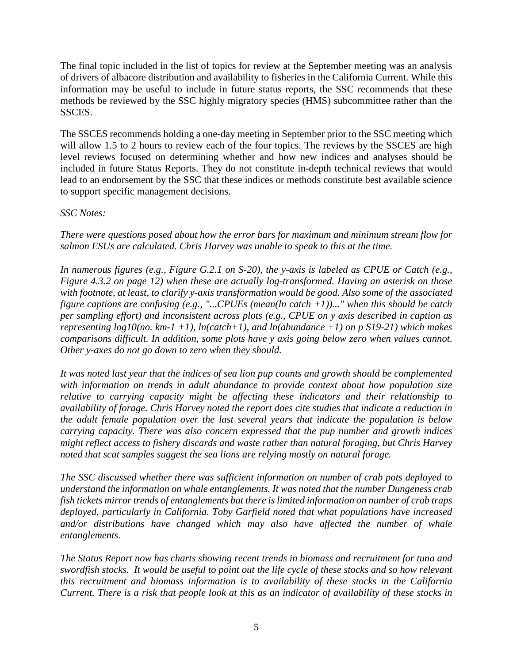The final topic included in the list of topics for review at the September meeting was an analysis of drivers of albacore distribution and availability to fisheries in the California Current. While this information may be useful to include in future status reports, the SSC recommends that these methods be reviewed by the SSC highly migratory species (HMS) subcommittee rather than the SSCES.

The SSCES recommends holding a one-day meeting in September prior to the SSC meeting which will allow 1.5 to 2 hours to review each of the four topics. The reviews by the SSCES are high level reviews focused on determining whether and how new indices and analyses should be included in future Status Reports. They do not constitute in-depth technical reviews that would lead to an endorsement by the SSC that these indices or methods constitute best available science to support specific management decisions.

### *SSC Notes:*

*There were questions posed about how the error bars for maximum and minimum stream flow for salmon ESUs are calculated. Chris Harvey was unable to speak to this at the time.*

*In numerous figures (e.g., Figure G.2.1 on S-20), the y-axis is labeled as CPUE or Catch (e.g., Figure 4.3.2 on page 12) when these are actually log-transformed. Having an asterisk on those with footnote, at least, to clarify y-axis transformation would be good. Also some of the associated figure captions are confusing (e.g., "...CPUEs (mean(ln catch +1))..." when this should be catch per sampling effort) and inconsistent across plots (e.g., CPUE on y axis described in caption as representing log10(no. km-1 +1), ln(catch+1), and ln(abundance +1) on p S19-21) which makes comparisons difficult. In addition, some plots have y axis going below zero when values cannot. Other y-axes do not go down to zero when they should.*

*It was noted last year that the indices of sea lion pup counts and growth should be complemented with information on trends in adult abundance to provide context about how population size relative to carrying capacity might be affecting these indicators and their relationship to availability of forage. Chris Harvey noted the report does cite studies that indicate a reduction in the adult female population over the last several years that indicate the population is below carrying capacity. There was also concern expressed that the pup number and growth indices might reflect access to fishery discards and waste rather than natural foraging, but Chris Harvey noted that scat samples suggest the sea lions are relying mostly on natural forage.*

*The SSC discussed whether there was sufficient information on number of crab pots deployed to understand the information on whale entanglements. It was noted that the number Dungeness crab fish tickets mirror trends of entanglements but there is limited information on number of crab traps deployed, particularly in California. Toby Garfield noted that what populations have increased and/or distributions have changed which may also have affected the number of whale entanglements.*

*The Status Report now has charts showing recent trends in biomass and recruitment for tuna and swordfish stocks. It would be useful to point out the life cycle of these stocks and so how relevant this recruitment and biomass information is to availability of these stocks in the California Current. There is a risk that people look at this as an indicator of availability of these stocks in*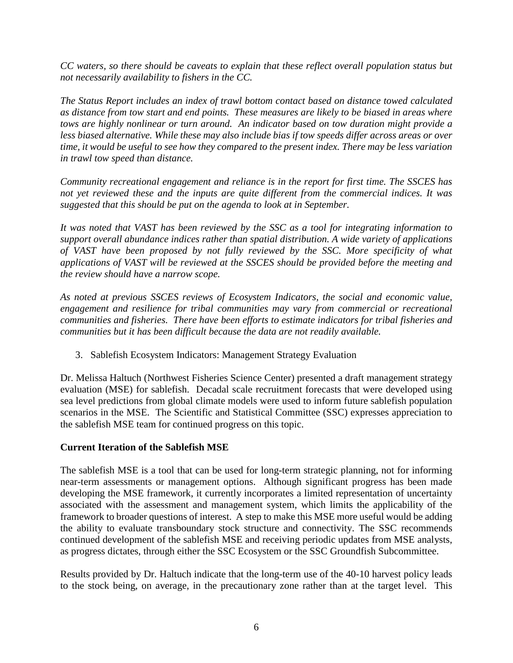*CC waters, so there should be caveats to explain that these reflect overall population status but not necessarily availability to fishers in the CC.*

*The Status Report includes an index of trawl bottom contact based on distance towed calculated as distance from tow start and end points. These measures are likely to be biased in areas where tows are highly nonlinear or turn around. An indicator based on tow duration might provide a less biased alternative. While these may also include bias if tow speeds differ across areas or over time, it would be useful to see how they compared to the present index. There may be less variation in trawl tow speed than distance.*

*Community recreational engagement and reliance is in the report for first time. The SSCES has not yet reviewed these and the inputs are quite different from the commercial indices. It was suggested that this should be put on the agenda to look at in September.* 

*It was noted that VAST has been reviewed by the SSC as a tool for integrating information to support overall abundance indices rather than spatial distribution. A wide variety of applications of VAST have been proposed by not fully reviewed by the SSC. More specificity of what applications of VAST will be reviewed at the SSCES should be provided before the meeting and the review should have a narrow scope.*

*As noted at previous SSCES reviews of Ecosystem Indicators, the social and economic value, engagement and resilience for tribal communities may vary from commercial or recreational communities and fisheries. There have been efforts to estimate indicators for tribal fisheries and communities but it has been difficult because the data are not readily available.*

3. Sablefish Ecosystem Indicators: Management Strategy Evaluation

Dr. Melissa Haltuch (Northwest Fisheries Science Center) presented a draft management strategy evaluation (MSE) for sablefish. Decadal scale recruitment forecasts that were developed using sea level predictions from global climate models were used to inform future sablefish population scenarios in the MSE. The Scientific and Statistical Committee (SSC) expresses appreciation to the sablefish MSE team for continued progress on this topic.

### **Current Iteration of the Sablefish MSE**

The sablefish MSE is a tool that can be used for long-term strategic planning, not for informing near-term assessments or management options. Although significant progress has been made developing the MSE framework, it currently incorporates a limited representation of uncertainty associated with the assessment and management system, which limits the applicability of the framework to broader questions of interest. A step to make this MSE more useful would be adding the ability to evaluate transboundary stock structure and connectivity. The SSC recommends continued development of the sablefish MSE and receiving periodic updates from MSE analysts, as progress dictates, through either the SSC Ecosystem or the SSC Groundfish Subcommittee.

Results provided by Dr. Haltuch indicate that the long-term use of the 40-10 harvest policy leads to the stock being, on average, in the precautionary zone rather than at the target level. This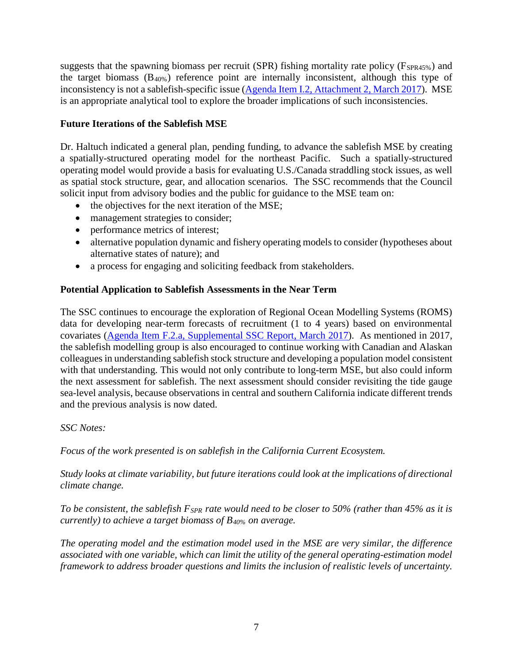suggests that the spawning biomass per recruit (SPR) fishing mortality rate policy ( $F_{SPR45\%}$ ) and the target biomass (B40%) reference point are internally inconsistent, although this type of inconsistency is not a sablefish-specific issue [\(Agenda Item I.2, Attachment 2, March 2017\)](http://www.pcouncil.org/wp-content/uploads/2017/02/I2_Att2_ProductivityWorkshopReport_Mar2017BB.pdf). MSE is an appropriate analytical tool to explore the broader implications of such inconsistencies.

## **Future Iterations of the Sablefish MSE**

Dr. Haltuch indicated a general plan, pending funding, to advance the sablefish MSE by creating a spatially-structured operating model for the northeast Pacific. Such a spatially-structured operating model would provide a basis for evaluating U.S./Canada straddling stock issues, as well as spatial stock structure, gear, and allocation scenarios. The SSC recommends that the Council solicit input from advisory bodies and the public for guidance to the MSE team on:

- the objectives for the next iteration of the MSE;
- management strategies to consider;
- performance metrics of interest;
- alternative population dynamic and fishery operating models to consider (hypotheses about alternative states of nature); and
- a process for engaging and soliciting feedback from stakeholders.

### **Potential Application to Sablefish Assessments in the Near Term**

The SSC continues to encourage the exploration of Regional Ocean Modelling Systems (ROMS) data for developing near-term forecasts of recruitment (1 to 4 years) based on environmental covariates [\(Agenda Item F.2.a, Supplemental SSC Report, March 2017\)](http://www.pcouncil.org/wp-content/uploads/2017/03/F2a_Sup_SSC_Rpt_Mar2017BB.pdf). As mentioned in 2017, the sablefish modelling group is also encouraged to continue working with Canadian and Alaskan colleagues in understanding sablefish stock structure and developing a population model consistent with that understanding. This would not only contribute to long-term MSE, but also could inform the next assessment for sablefish. The next assessment should consider revisiting the tide gauge sea-level analysis, because observations in central and southern California indicate different trends and the previous analysis is now dated.

### *SSC Notes:*

*Focus of the work presented is on sablefish in the California Current Ecosystem.*

*Study looks at climate variability, but future iterations could look at the implications of directional climate change.*

*To be consistent, the sablefish FSPR rate would need to be closer to 50% (rather than 45% as it is currently) to achieve a target biomass of B40% on average.*

*The operating model and the estimation model used in the MSE are very similar, the difference associated with one variable, which can limit the utility of the general operating-estimation model framework to address broader questions and limits the inclusion of realistic levels of uncertainty.*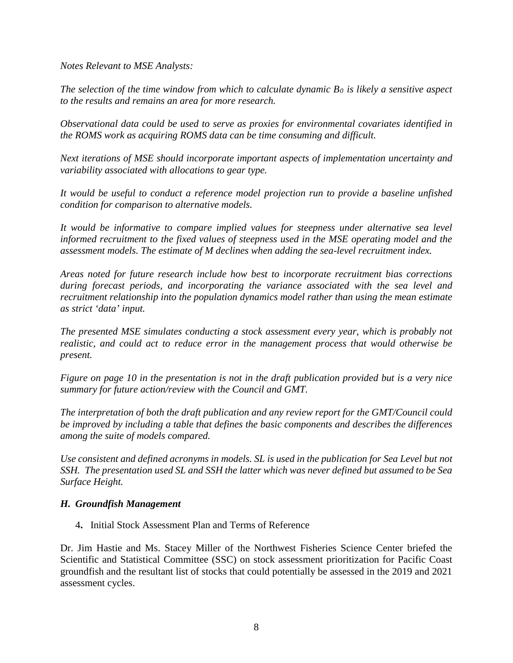*Notes Relevant to MSE Analysts:* 

*The selection of the time window from which to calculate dynamic*  $B_0$  *is likely a sensitive aspect to the results and remains an area for more research.*

*Observational data could be used to serve as proxies for environmental covariates identified in the ROMS work as acquiring ROMS data can be time consuming and difficult.*

*Next iterations of MSE should incorporate important aspects of implementation uncertainty and variability associated with allocations to gear type.* 

*It would be useful to conduct a reference model projection run to provide a baseline unfished condition for comparison to alternative models.*

It would be informative to compare implied values for steepness under alternative sea level *informed recruitment to the fixed values of steepness used in the MSE operating model and the assessment models. The estimate of M declines when adding the sea-level recruitment index.*

*Areas noted for future research include how best to incorporate recruitment bias corrections during forecast periods, and incorporating the variance associated with the sea level and recruitment relationship into the population dynamics model rather than using the mean estimate as strict 'data' input.*

*The presented MSE simulates conducting a stock assessment every year, which is probably not realistic, and could act to reduce error in the management process that would otherwise be present.*

*Figure on page 10 in the presentation is not in the draft publication provided but is a very nice summary for future action/review with the Council and GMT.*

*The interpretation of both the draft publication and any review report for the GMT/Council could be improved by including a table that defines the basic components and describes the differences among the suite of models compared.*

*Use consistent and defined acronyms in models. SL is used in the publication for Sea Level but not SSH. The presentation used SL and SSH the latter which was never defined but assumed to be Sea Surface Height.*

### *H. Groundfish Management*

4**.** Initial Stock Assessment Plan and Terms of Reference

Dr. Jim Hastie and Ms. Stacey Miller of the Northwest Fisheries Science Center briefed the Scientific and Statistical Committee (SSC) on stock assessment prioritization for Pacific Coast groundfish and the resultant list of stocks that could potentially be assessed in the 2019 and 2021 assessment cycles.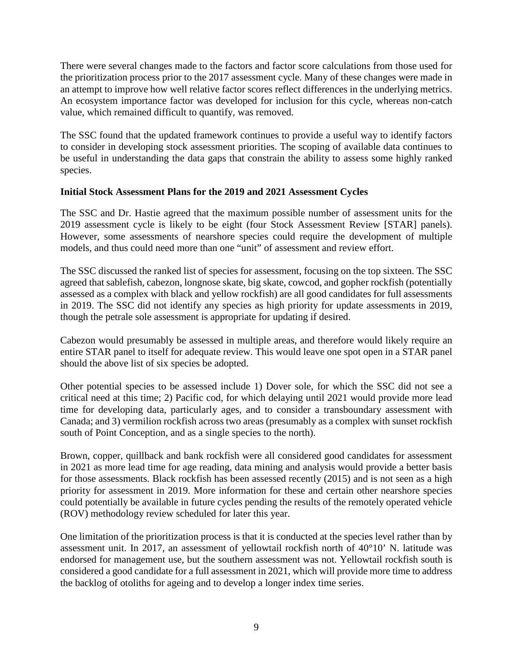There were several changes made to the factors and factor score calculations from those used for the prioritization process prior to the 2017 assessment cycle. Many of these changes were made in an attempt to improve how well relative factor scores reflect differences in the underlying metrics. An ecosystem importance factor was developed for inclusion for this cycle, whereas non-catch value, which remained difficult to quantify, was removed.

The SSC found that the updated framework continues to provide a useful way to identify factors to consider in developing stock assessment priorities. The scoping of available data continues to be useful in understanding the data gaps that constrain the ability to assess some highly ranked species.

### **Initial Stock Assessment Plans for the 2019 and 2021 Assessment Cycles**

The SSC and Dr. Hastie agreed that the maximum possible number of assessment units for the 2019 assessment cycle is likely to be eight (four Stock Assessment Review [STAR] panels). However, some assessments of nearshore species could require the development of multiple models, and thus could need more than one "unit" of assessment and review effort.

The SSC discussed the ranked list of species for assessment, focusing on the top sixteen. The SSC agreed that sablefish, cabezon, longnose skate, big skate, cowcod, and gopher rockfish (potentially assessed as a complex with black and yellow rockfish) are all good candidates for full assessments in 2019. The SSC did not identify any species as high priority for update assessments in 2019, though the petrale sole assessment is appropriate for updating if desired.

Cabezon would presumably be assessed in multiple areas, and therefore would likely require an entire STAR panel to itself for adequate review. This would leave one spot open in a STAR panel should the above list of six species be adopted.

Other potential species to be assessed include 1) Dover sole, for which the SSC did not see a critical need at this time; 2) Pacific cod, for which delaying until 2021 would provide more lead time for developing data, particularly ages, and to consider a transboundary assessment with Canada; and 3) vermilion rockfish across two areas (presumably as a complex with sunset rockfish south of Point Conception, and as a single species to the north).

Brown, copper, quillback and bank rockfish were all considered good candidates for assessment in 2021 as more lead time for age reading, data mining and analysis would provide a better basis for those assessments. Black rockfish has been assessed recently (2015) and is not seen as a high priority for assessment in 2019. More information for these and certain other nearshore species could potentially be available in future cycles pending the results of the remotely operated vehicle (ROV) methodology review scheduled for later this year.

One limitation of the prioritization process is that it is conducted at the species level rather than by assessment unit. In 2017, an assessment of yellowtail rockfish north of 40°10' N. latitude was endorsed for management use, but the southern assessment was not. Yellowtail rockfish south is considered a good candidate for a full assessment in 2021, which will provide more time to address the backlog of otoliths for ageing and to develop a longer index time series.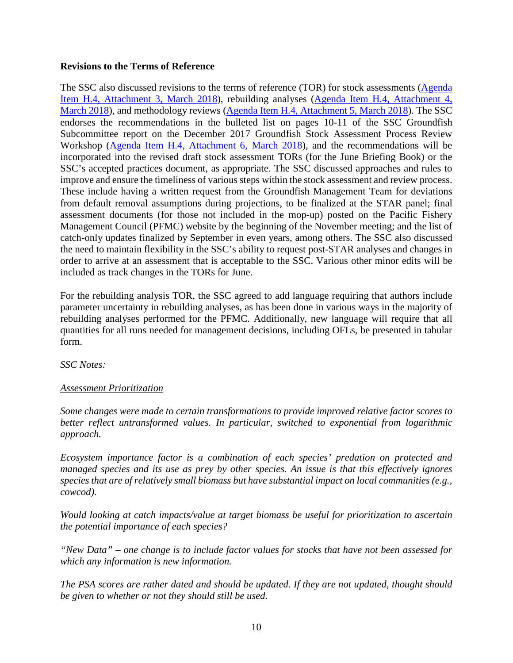### **Revisions to the Terms of Reference**

The SSC also discussed revisions to the terms of reference (TOR) for stock assessments [\(Agenda](https://www.pcouncil.org/wp-content/uploads/2018/02/H4_Att3_Draft_Stock_Assessment_ToR_2019-20.pdf)  [Item H.4, Attachment 3, March 2018\)](https://www.pcouncil.org/wp-content/uploads/2018/02/H4_Att3_Draft_Stock_Assessment_ToR_2019-20.pdf), rebuilding analyses [\(Agenda Item H.4, Attachment 4,](https://www.pcouncil.org/wp-content/uploads/2018/02/H4_Att4_DRAFT_GF_Rebuild_ToR_2019-20.pdf)  [March 2018\)](https://www.pcouncil.org/wp-content/uploads/2018/02/H4_Att4_DRAFT_GF_Rebuild_ToR_2019-20.pdf), and methodology reviews [\(Agenda Item H.4, Attachment 5, March 2018\)](https://www.pcouncil.org/wp-content/uploads/2018/02/H4_Att5_Draft_Methodology_ToR_CPSGF-2019-20.pdf). The SSC endorses the recommendations in the bulleted list on pages 10-11 of the SSC Groundfish Subcommittee report on the December 2017 Groundfish Stock Assessment Process Review Workshop [\(Agenda Item H.4, Attachment 6, March 2018\)](https://www.pcouncil.org/wp-content/uploads/2018/02/H4_Att6_SSC_GFSC_STAR_Process_Review_Workshop_Report-FINAL.pdf), and the recommendations will be incorporated into the revised draft stock assessment TORs (for the June Briefing Book) or the SSC's accepted practices document, as appropriate. The SSC discussed approaches and rules to improve and ensure the timeliness of various steps within the stock assessment and review process. These include having a written request from the Groundfish Management Team for deviations from default removal assumptions during projections, to be finalized at the STAR panel; final assessment documents (for those not included in the mop-up) posted on the Pacific Fishery Management Council (PFMC) website by the beginning of the November meeting; and the list of catch-only updates finalized by September in even years, among others. The SSC also discussed the need to maintain flexibility in the SSC's ability to request post-STAR analyses and changes in order to arrive at an assessment that is acceptable to the SSC. Various other minor edits will be included as track changes in the TORs for June.

For the rebuilding analysis TOR, the SSC agreed to add language requiring that authors include parameter uncertainty in rebuilding analyses, as has been done in various ways in the majority of rebuilding analyses performed for the PFMC. Additionally, new language will require that all quantities for all runs needed for management decisions, including OFLs, be presented in tabular form.

*SSC Notes:*

### *Assessment Prioritization*

*Some changes were made to certain transformations to provide improved relative factor scores to better reflect untransformed values. In particular, switched to exponential from logarithmic approach.*

*Ecosystem importance factor is a combination of each species' predation on protected and managed species and its use as prey by other species. An issue is that this effectively ignores species that are of relatively small biomass but have substantial impact on local communities (e.g., cowcod).* 

*Would looking at catch impacts/value at target biomass be useful for prioritization to ascertain the potential importance of each species?* 

*"New Data" – one change is to include factor values for stocks that have not been assessed for which any information is new information.*

*The PSA scores are rather dated and should be updated. If they are not updated, thought should be given to whether or not they should still be used.*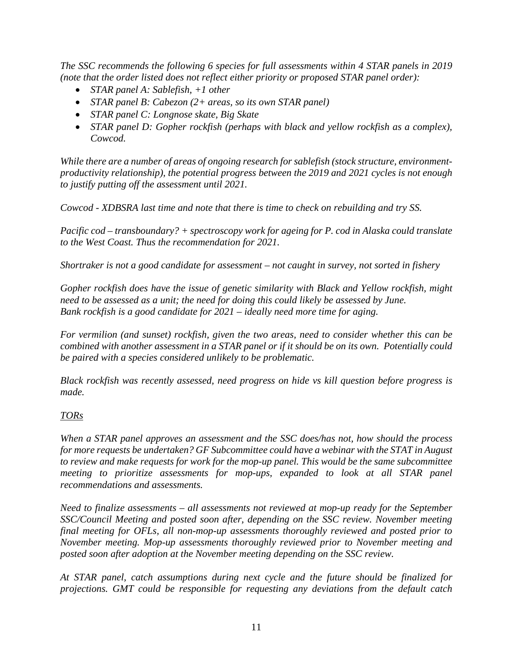*The SSC recommends the following 6 species for full assessments within 4 STAR panels in 2019 (note that the order listed does not reflect either priority or proposed STAR panel order):*

- *STAR panel A: Sablefish, +1 other*
- *STAR panel B: Cabezon (2+ areas, so its own STAR panel)*
- *STAR panel C: Longnose skate, Big Skate*
- *STAR panel D: Gopher rockfish (perhaps with black and yellow rockfish as a complex), Cowcod.*

*While there are a number of areas of ongoing research for sablefish (stock structure, environmentproductivity relationship), the potential progress between the 2019 and 2021 cycles is not enough to justify putting off the assessment until 2021.* 

*Cowcod - XDBSRA last time and note that there is time to check on rebuilding and try SS.* 

*Pacific cod – transboundary? + spectroscopy work for ageing for P. cod in Alaska could translate to the West Coast. Thus the recommendation for 2021.*

*Shortraker is not a good candidate for assessment – not caught in survey, not sorted in fishery*

*Gopher rockfish does have the issue of genetic similarity with Black and Yellow rockfish, might need to be assessed as a unit; the need for doing this could likely be assessed by June. Bank rockfish is a good candidate for 2021 – ideally need more time for aging.*

*For vermilion (and sunset) rockfish, given the two areas, need to consider whether this can be combined with another assessment in a STAR panel or if it should be on its own. Potentially could be paired with a species considered unlikely to be problematic.* 

*Black rockfish was recently assessed, need progress on hide vs kill question before progress is made.*

### *TORs*

*When a STAR panel approves an assessment and the SSC does/has not, how should the process for more requests be undertaken? GF Subcommittee could have a webinar with the STAT in August to review and make requests for work for the mop-up panel. This would be the same subcommittee meeting to prioritize assessments for mop-ups, expanded to look at all STAR panel recommendations and assessments.* 

*Need to finalize assessments – all assessments not reviewed at mop-up ready for the September SSC/Council Meeting and posted soon after, depending on the SSC review. November meeting final meeting for OFLs, all non-mop-up assessments thoroughly reviewed and posted prior to November meeting. Mop-up assessments thoroughly reviewed prior to November meeting and posted soon after adoption at the November meeting depending on the SSC review.* 

*At STAR panel, catch assumptions during next cycle and the future should be finalized for projections. GMT could be responsible for requesting any deviations from the default catch*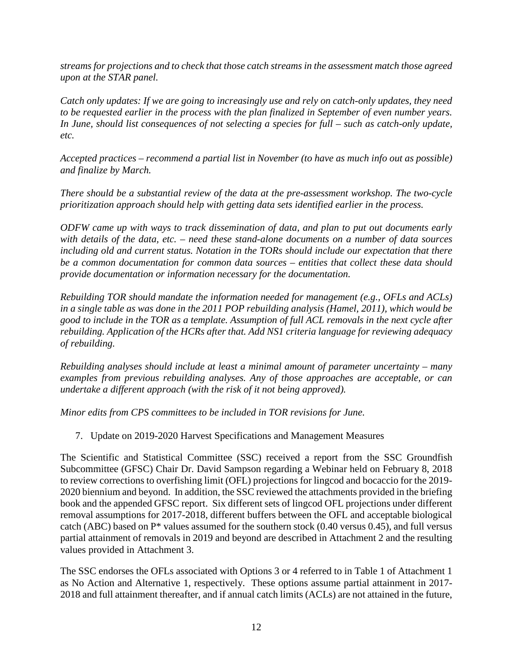*streams for projections and to check that those catch streams in the assessment match those agreed upon at the STAR panel.* 

*Catch only updates: If we are going to increasingly use and rely on catch-only updates, they need to be requested earlier in the process with the plan finalized in September of even number years. In June, should list consequences of not selecting a species for full – such as catch-only update, etc.* 

*Accepted practices – recommend a partial list in November (to have as much info out as possible) and finalize by March.* 

*There should be a substantial review of the data at the pre-assessment workshop. The two-cycle prioritization approach should help with getting data sets identified earlier in the process.* 

*ODFW came up with ways to track dissemination of data, and plan to put out documents early with details of the data, etc. – need these stand-alone documents on a number of data sources including old and current status. Notation in the TORs should include our expectation that there be a common documentation for common data sources – entities that collect these data should provide documentation or information necessary for the documentation.* 

*Rebuilding TOR should mandate the information needed for management (e.g., OFLs and ACLs) in a single table as was done in the 2011 POP rebuilding analysis (Hamel, 2011), which would be good to include in the TOR as a template. Assumption of full ACL removals in the next cycle after rebuilding. Application of the HCRs after that. Add NS1 criteria language for reviewing adequacy of rebuilding.* 

*Rebuilding analyses should include at least a minimal amount of parameter uncertainty – many examples from previous rebuilding analyses. Any of those approaches are acceptable, or can undertake a different approach (with the risk of it not being approved).*

*Minor edits from CPS committees to be included in TOR revisions for June.*

7. Update on 2019-2020 Harvest Specifications and Management Measures

The Scientific and Statistical Committee (SSC) received a report from the SSC Groundfish Subcommittee (GFSC) Chair Dr. David Sampson regarding a Webinar held on February 8, 2018 to review corrections to overfishing limit (OFL) projections for lingcod and bocaccio for the 2019- 2020 biennium and beyond. In addition, the SSC reviewed the attachments provided in the briefing book and the appended GFSC report. Six different sets of lingcod OFL projections under different removal assumptions for 2017-2018, different buffers between the OFL and acceptable biological catch (ABC) based on P\* values assumed for the southern stock (0.40 versus 0.45), and full versus partial attainment of removals in 2019 and beyond are described in Attachment 2 and the resulting values provided in Attachment 3.

The SSC endorses the OFLs associated with Options 3 or 4 referred to in Table 1 of Attachment 1 as No Action and Alternative 1, respectively. These options assume partial attainment in 2017- 2018 and full attainment thereafter, and if annual catch limits (ACLs) are not attained in the future,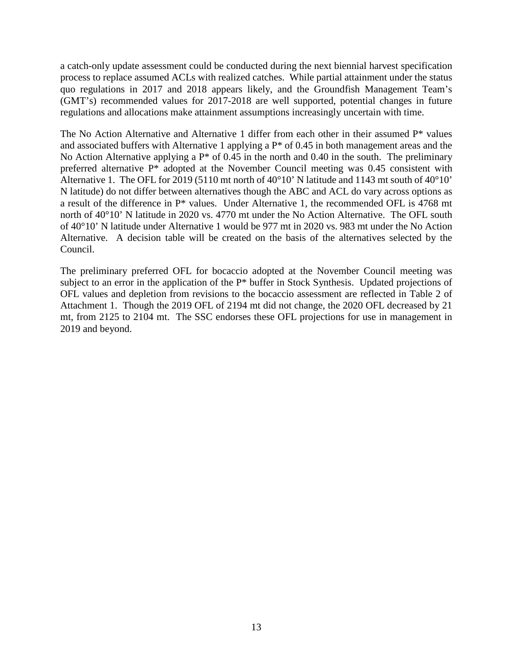a catch-only update assessment could be conducted during the next biennial harvest specification process to replace assumed ACLs with realized catches. While partial attainment under the status quo regulations in 2017 and 2018 appears likely, and the Groundfish Management Team's (GMT's) recommended values for 2017-2018 are well supported, potential changes in future regulations and allocations make attainment assumptions increasingly uncertain with time.

The No Action Alternative and Alternative 1 differ from each other in their assumed  $P^*$  values and associated buffers with Alternative 1 applying a P\* of 0.45 in both management areas and the No Action Alternative applying a  $P^*$  of 0.45 in the north and 0.40 in the south. The preliminary preferred alternative P\* adopted at the November Council meeting was 0.45 consistent with Alternative 1. The OFL for 2019 (5110 mt north of 40°10' N latitude and 1143 mt south of 40°10' N latitude) do not differ between alternatives though the ABC and ACL do vary across options as a result of the difference in P\* values. Under Alternative 1, the recommended OFL is 4768 mt north of 40°10' N latitude in 2020 vs. 4770 mt under the No Action Alternative. The OFL south of 40°10' N latitude under Alternative 1 would be 977 mt in 2020 vs. 983 mt under the No Action Alternative. A decision table will be created on the basis of the alternatives selected by the Council.

The preliminary preferred OFL for bocaccio adopted at the November Council meeting was subject to an error in the application of the P\* buffer in Stock Synthesis. Updated projections of OFL values and depletion from revisions to the bocaccio assessment are reflected in Table 2 of Attachment 1. Though the 2019 OFL of 2194 mt did not change, the 2020 OFL decreased by 21 mt, from 2125 to 2104 mt. The SSC endorses these OFL projections for use in management in 2019 and beyond.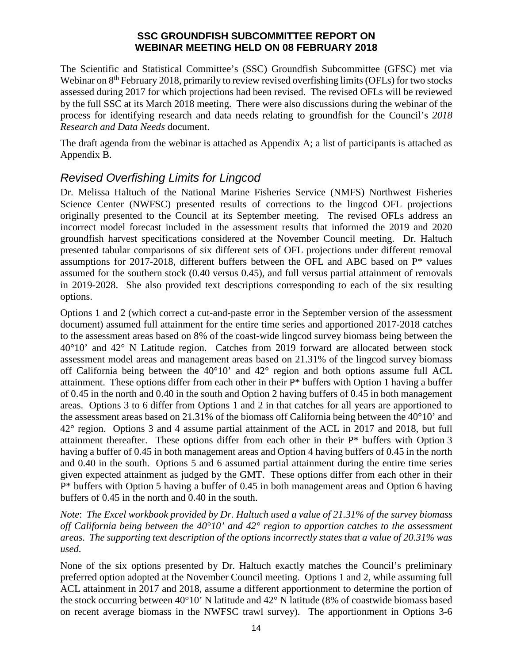### **SSC GROUNDFISH SUBCOMMITTEE REPORT ON WEBINAR MEETING HELD ON 08 FEBRUARY 2018**

The Scientific and Statistical Committee's (SSC) Groundfish Subcommittee (GFSC) met via Webinar on 8<sup>th</sup> February 2018, primarily to review revised overfishing limits (OFLs) for two stocks assessed during 2017 for which projections had been revised. The revised OFLs will be reviewed by the full SSC at its March 2018 meeting. There were also discussions during the webinar of the process for identifying research and data needs relating to groundfish for the Council's *2018 Research and Data Needs* document.

The draft agenda from the webinar is attached as Appendix A; a list of participants is attached as Appendix B.

# *Revised Overfishing Limits for Lingcod*

Dr. Melissa Haltuch of the National Marine Fisheries Service (NMFS) Northwest Fisheries Science Center (NWFSC) presented results of corrections to the lingcod OFL projections originally presented to the Council at its September meeting. The revised OFLs address an incorrect model forecast included in the assessment results that informed the 2019 and 2020 groundfish harvest specifications considered at the November Council meeting. Dr. Haltuch presented tabular comparisons of six different sets of OFL projections under different removal assumptions for 2017-2018, different buffers between the OFL and ABC based on P\* values assumed for the southern stock (0.40 versus 0.45), and full versus partial attainment of removals in 2019-2028. She also provided text descriptions corresponding to each of the six resulting options.

Options 1 and 2 (which correct a cut-and-paste error in the September version of the assessment document) assumed full attainment for the entire time series and apportioned 2017-2018 catches to the assessment areas based on 8% of the coast-wide lingcod survey biomass being between the 40°10' and 42° N Latitude region. Catches from 2019 forward are allocated between stock assessment model areas and management areas based on 21.31% of the lingcod survey biomass off California being between the 40°10' and 42° region and both options assume full ACL attainment. These options differ from each other in their P\* buffers with Option 1 having a buffer of 0.45 in the north and 0.40 in the south and Option 2 having buffers of 0.45 in both management areas. Options 3 to 6 differ from Options 1 and 2 in that catches for all years are apportioned to the assessment areas based on 21.31% of the biomass off California being between the 40°10' and 42° region. Options 3 and 4 assume partial attainment of the ACL in 2017 and 2018, but full attainment thereafter. These options differ from each other in their P\* buffers with Option 3 having a buffer of 0.45 in both management areas and Option 4 having buffers of 0.45 in the north and 0.40 in the south. Options 5 and 6 assumed partial attainment during the entire time series given expected attainment as judged by the GMT. These options differ from each other in their P\* buffers with Option 5 having a buffer of 0.45 in both management areas and Option 6 having buffers of 0.45 in the north and 0.40 in the south.

*Note*: *The Excel workbook provided by Dr. Haltuch used a value of 21.31% of the survey biomass off California being between the 40°10' and 42° region to apportion catches to the assessment areas. The supporting text description of the options incorrectly states that a value of 20.31% was used*.

None of the six options presented by Dr. Haltuch exactly matches the Council's preliminary preferred option adopted at the November Council meeting. Options 1 and 2, while assuming full ACL attainment in 2017 and 2018, assume a different apportionment to determine the portion of the stock occurring between 40°10' N latitude and 42° N latitude (8% of coastwide biomass based on recent average biomass in the NWFSC trawl survey). The apportionment in Options 3-6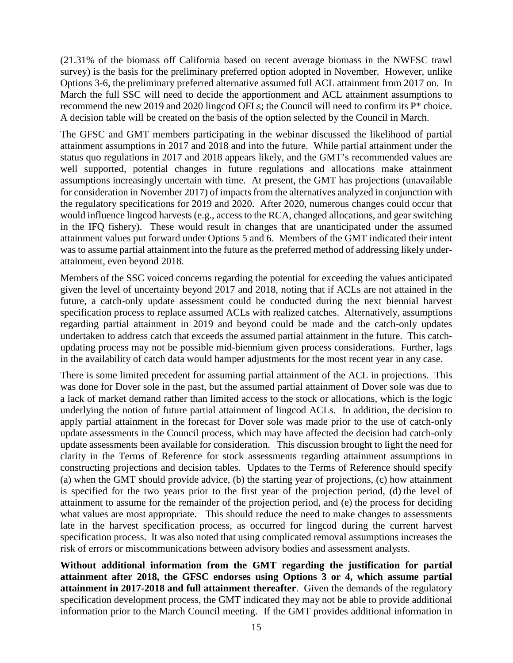(21.31% of the biomass off California based on recent average biomass in the NWFSC trawl survey) is the basis for the preliminary preferred option adopted in November. However, unlike Options 3-6, the preliminary preferred alternative assumed full ACL attainment from 2017 on. In March the full SSC will need to decide the apportionment and ACL attainment assumptions to recommend the new 2019 and 2020 lingcod OFLs; the Council will need to confirm its P\* choice. A decision table will be created on the basis of the option selected by the Council in March.

The GFSC and GMT members participating in the webinar discussed the likelihood of partial attainment assumptions in 2017 and 2018 and into the future. While partial attainment under the status quo regulations in 2017 and 2018 appears likely, and the GMT's recommended values are well supported, potential changes in future regulations and allocations make attainment assumptions increasingly uncertain with time. At present, the GMT has projections (unavailable for consideration in November 2017) of impacts from the alternatives analyzed in conjunction with the regulatory specifications for 2019 and 2020. After 2020, numerous changes could occur that would influence lingcod harvests (e.g., access to the RCA, changed allocations, and gear switching in the IFQ fishery). These would result in changes that are unanticipated under the assumed attainment values put forward under Options 5 and 6. Members of the GMT indicated their intent was to assume partial attainment into the future as the preferred method of addressing likely underattainment, even beyond 2018.

Members of the SSC voiced concerns regarding the potential for exceeding the values anticipated given the level of uncertainty beyond 2017 and 2018, noting that if ACLs are not attained in the future, a catch-only update assessment could be conducted during the next biennial harvest specification process to replace assumed ACLs with realized catches. Alternatively, assumptions regarding partial attainment in 2019 and beyond could be made and the catch-only updates undertaken to address catch that exceeds the assumed partial attainment in the future. This catchupdating process may not be possible mid-biennium given process considerations. Further, lags in the availability of catch data would hamper adjustments for the most recent year in any case.

There is some limited precedent for assuming partial attainment of the ACL in projections. This was done for Dover sole in the past, but the assumed partial attainment of Dover sole was due to a lack of market demand rather than limited access to the stock or allocations, which is the logic underlying the notion of future partial attainment of lingcod ACLs. In addition, the decision to apply partial attainment in the forecast for Dover sole was made prior to the use of catch-only update assessments in the Council process, which may have affected the decision had catch-only update assessments been available for consideration. This discussion brought to light the need for clarity in the Terms of Reference for stock assessments regarding attainment assumptions in constructing projections and decision tables. Updates to the Terms of Reference should specify (a) when the GMT should provide advice, (b) the starting year of projections, (c) how attainment is specified for the two years prior to the first year of the projection period, (d) the level of attainment to assume for the remainder of the projection period, and (e) the process for deciding what values are most appropriate. This should reduce the need to make changes to assessments late in the harvest specification process, as occurred for lingcod during the current harvest specification process. It was also noted that using complicated removal assumptions increases the risk of errors or miscommunications between advisory bodies and assessment analysts.

**Without additional information from the GMT regarding the justification for partial attainment after 2018, the GFSC endorses using Options 3 or 4, which assume partial attainment in 2017-2018 and full attainment thereafter**. Given the demands of the regulatory specification development process, the GMT indicated they may not be able to provide additional information prior to the March Council meeting. If the GMT provides additional information in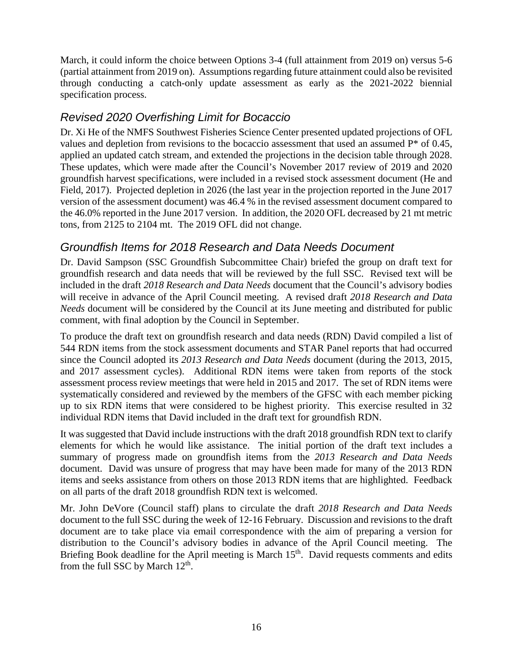March, it could inform the choice between Options 3-4 (full attainment from 2019 on) versus 5-6 (partial attainment from 2019 on). Assumptions regarding future attainment could also be revisited through conducting a catch-only update assessment as early as the 2021-2022 biennial specification process.

# *Revised 2020 Overfishing Limit for Bocaccio*

Dr. Xi He of the NMFS Southwest Fisheries Science Center presented updated projections of OFL values and depletion from revisions to the bocaccio assessment that used an assumed P\* of 0.45, applied an updated catch stream, and extended the projections in the decision table through 2028. These updates, which were made after the Council's November 2017 review of 2019 and 2020 groundfish harvest specifications, were included in a revised stock assessment document (He and Field, 2017). Projected depletion in 2026 (the last year in the projection reported in the June 2017 version of the assessment document) was 46.4 % in the revised assessment document compared to the 46.0% reported in the June 2017 version. In addition, the 2020 OFL decreased by 21 mt metric tons, from 2125 to 2104 mt. The 2019 OFL did not change.

# *Groundfish Items for 2018 Research and Data Needs Document*

Dr. David Sampson (SSC Groundfish Subcommittee Chair) briefed the group on draft text for groundfish research and data needs that will be reviewed by the full SSC. Revised text will be included in the draft *2018 Research and Data Needs* document that the Council's advisory bodies will receive in advance of the April Council meeting. A revised draft *2018 Research and Data Needs* document will be considered by the Council at its June meeting and distributed for public comment, with final adoption by the Council in September.

To produce the draft text on groundfish research and data needs (RDN) David compiled a list of 544 RDN items from the stock assessment documents and STAR Panel reports that had occurred since the Council adopted its *2013 Research and Data Needs* document (during the 2013, 2015, and 2017 assessment cycles). Additional RDN items were taken from reports of the stock assessment process review meetings that were held in 2015 and 2017. The set of RDN items were systematically considered and reviewed by the members of the GFSC with each member picking up to six RDN items that were considered to be highest priority. This exercise resulted in 32 individual RDN items that David included in the draft text for groundfish RDN.

It was suggested that David include instructions with the draft 2018 groundfish RDN text to clarify elements for which he would like assistance. The initial portion of the draft text includes a summary of progress made on groundfish items from the *2013 Research and Data Needs* document. David was unsure of progress that may have been made for many of the 2013 RDN items and seeks assistance from others on those 2013 RDN items that are highlighted. Feedback on all parts of the draft 2018 groundfish RDN text is welcomed.

Mr. John DeVore (Council staff) plans to circulate the draft *2018 Research and Data Needs* document to the full SSC during the week of 12-16 February. Discussion and revisions to the draft document are to take place via email correspondence with the aim of preparing a version for distribution to the Council's advisory bodies in advance of the April Council meeting. The Briefing Book deadline for the April meeting is March 15<sup>th</sup>. David requests comments and edits from the full SSC by March  $12<sup>th</sup>$ .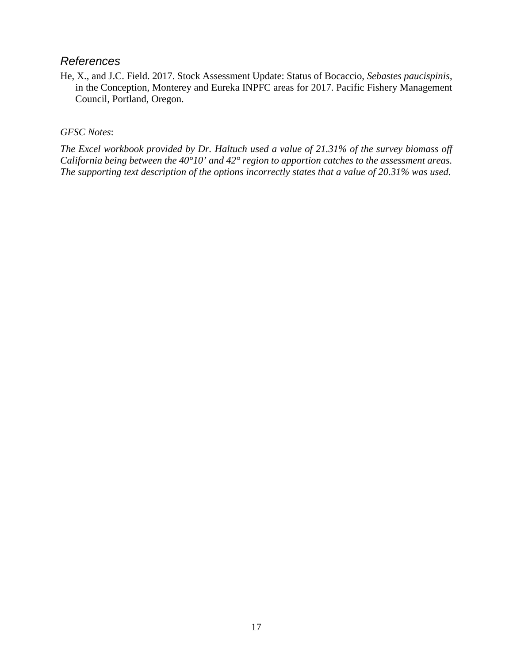## *References*

He, X., and J.C. Field. 2017. Stock Assessment Update: Status of Bocaccio, *Sebastes paucispinis*, in the Conception, Monterey and Eureka INPFC areas for 2017. Pacific Fishery Management Council, Portland, Oregon.

## *GFSC Notes*:

*The Excel workbook provided by Dr. Haltuch used a value of 21.31% of the survey biomass off California being between the 40°10' and 42° region to apportion catches to the assessment areas. The supporting text description of the options incorrectly states that a value of 20.31% was used*.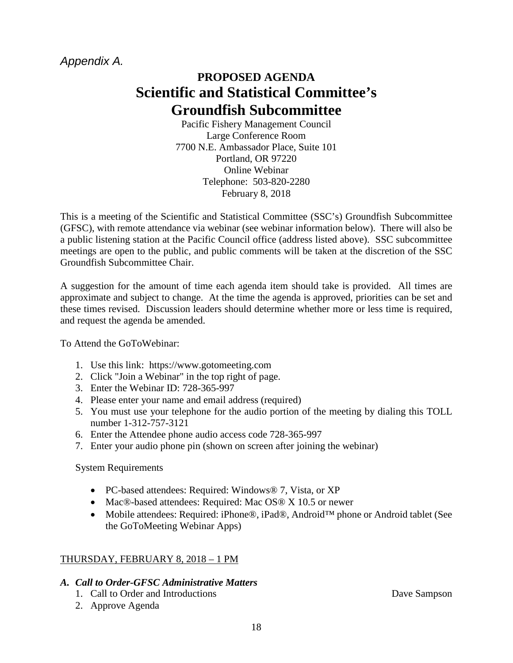# *Appendix A.*

# **PROPOSED AGENDA Scientific and Statistical Committee's Groundfish Subcommittee**

Pacific Fishery Management Council Large Conference Room 7700 N.E. Ambassador Place, Suite 101 Portland, OR 97220 Online Webinar Telephone: 503-820-2280 February 8, 2018

This is a meeting of the Scientific and Statistical Committee (SSC's) Groundfish Subcommittee (GFSC), with remote attendance via webinar (see webinar information below). There will also be a public listening station at the Pacific Council office (address listed above). SSC subcommittee meetings are open to the public, and public comments will be taken at the discretion of the SSC Groundfish Subcommittee Chair.

A suggestion for the amount of time each agenda item should take is provided. All times are approximate and subject to change. At the time the agenda is approved, priorities can be set and these times revised. Discussion leaders should determine whether more or less time is required, and request the agenda be amended.

To Attend the GoToWebinar:

- 1. Use this link: https://www.gotomeeting.com
- 2. Click "Join a Webinar" in the top right of page.
- 3. Enter the Webinar ID: 728-365-997
- 4. Please enter your name and email address (required)
- 5. You must use your telephone for the audio portion of the meeting by dialing this TOLL number 1-312-757-3121
- 6. Enter the Attendee phone audio access code 728-365-997
- 7. Enter your audio phone pin (shown on screen after joining the webinar)

System Requirements

- PC-based attendees: Required: Windows® 7, Vista, or XP
- Mac®-based attendees: Required: Mac OS® X 10.5 or newer
- Mobile attendees: Required: iPhone®, iPad®, Android™ phone or Android tablet (See the GoToMeeting Webinar Apps)

# THURSDAY, FEBRUARY 8, 2018 – 1 PM

### *A. Call to Order-GFSC Administrative Matters*

- 1. Call to Order and Introductions Dave Sampson
- 2. Approve Agenda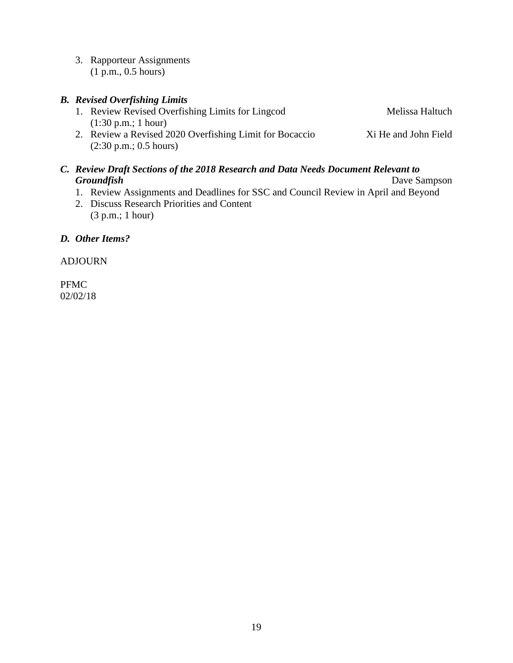3. Rapporteur Assignments (1 p.m., 0.5 hours)

# *B. Revised Overfishing Limits* 1. Review Revised Overfishing Limits for Lingcod Melissa Haltuch (1:30 p.m.; 1 hour) 2. Review a Revised 2020 Overfishing Limit for Bocaccio Xi He and John Field (2:30 p.m.; 0.5 hours)

# *C. Review Draft Sections of the 2018 Research and Data Needs Document Relevant to*  **Groundfish** Dave Sampson

- 1. Review Assignments and Deadlines for SSC and Council Review in April and Beyond
- 2. Discuss Research Priorities and Content (3 p.m.; 1 hour)

## *D. Other Items?*

ADJOURN

PFMC 02/02/18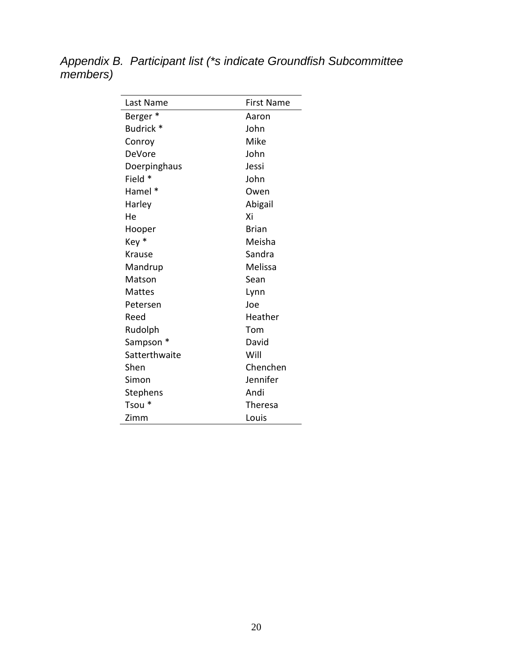*Appendix B. Participant list (\*s indicate Groundfish Subcommittee members)*

| Last Name           | <b>First Name</b> |
|---------------------|-------------------|
| Berger <sup>*</sup> | Aaron             |
| Budrick *           | John              |
| Conroy              | Mike              |
| DeVore              | John              |
| Doerpinghaus        | Jessi             |
| Field *             | John              |
| Hamel *             | Owen              |
| Harley              | Abigail           |
| He                  | Xi                |
| Hooper              | <b>Brian</b>      |
| Key *               | Meisha            |
| Krause              | Sandra            |
| Mandrup             | Melissa           |
| Matson              | Sean              |
| Mattes              | Lynn              |
| Petersen            | Joe               |
| Reed                | Heather           |
| Rudolph             | Tom               |
| Sampson *           | David             |
| Satterthwaite       | Will              |
| Shen                | Chenchen          |
| Simon               | Jennifer          |
| Stephens            | Andi              |
| Tsou*               | Theresa           |
| Zimm                | Louis             |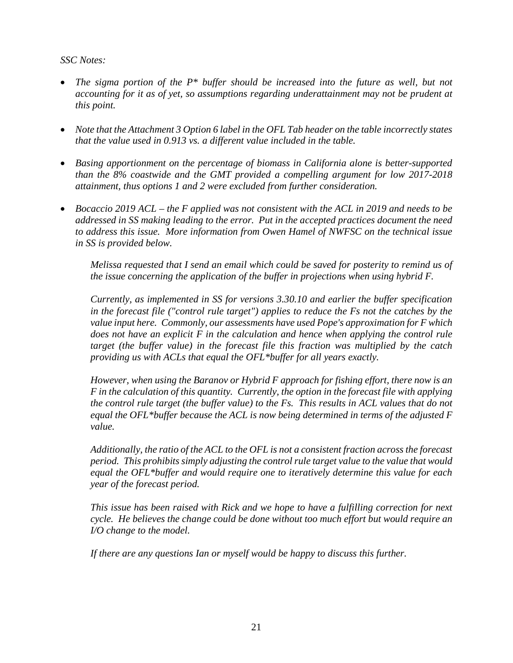*SSC Notes:* 

- *The sigma portion of the P\* buffer should be increased into the future as well, but not accounting for it as of yet, so assumptions regarding underattainment may not be prudent at this point.*
- *Note that the Attachment 3 Option 6 label in the OFL Tab header on the table incorrectly states that the value used in 0.913 vs. a different value included in the table.*
- *Basing apportionment on the percentage of biomass in California alone is better-supported than the 8% coastwide and the GMT provided a compelling argument for low 2017-2018 attainment, thus options 1 and 2 were excluded from further consideration.*
- *Bocaccio 2019 ACL – the F applied was not consistent with the ACL in 2019 and needs to be addressed in SS making leading to the error. Put in the accepted practices document the need to address this issue. More information from Owen Hamel of NWFSC on the technical issue in SS is provided below.*

*Melissa requested that I send an email which could be saved for posterity to remind us of the issue concerning the application of the buffer in projections when using hybrid F.* 

*Currently, as implemented in SS for versions 3.30.10 and earlier the buffer specification in the forecast file ("control rule target") applies to reduce the Fs not the catches by the value input here. Commonly, our assessments have used Pope's approximation for F which does not have an explicit F in the calculation and hence when applying the control rule target (the buffer value) in the forecast file this fraction was multiplied by the catch providing us with ACLs that equal the OFL\*buffer for all years exactly.* 

*However, when using the Baranov or Hybrid F approach for fishing effort, there now is an F in the calculation of this quantity. Currently, the option in the forecast file with applying the control rule target (the buffer value) to the Fs. This results in ACL values that do not equal the OFL\*buffer because the ACL is now being determined in terms of the adjusted F value.* 

*Additionally, the ratio of the ACL to the OFL is not a consistent fraction across the forecast period. This prohibits simply adjusting the control rule target value to the value that would equal the OFL\*buffer and would require one to iteratively determine this value for each year of the forecast period.*

*This issue has been raised with Rick and we hope to have a fulfilling correction for next cycle. He believes the change could be done without too much effort but would require an I/O change to the model.* 

*If there are any questions Ian or myself would be happy to discuss this further.*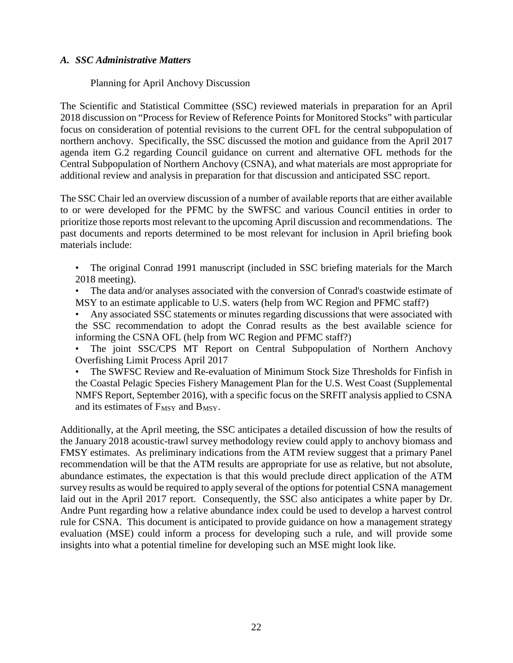### *A. SSC Administrative Matters*

### Planning for April Anchovy Discussion

The Scientific and Statistical Committee (SSC) reviewed materials in preparation for an April 2018 discussion on "Process for Review of Reference Points for Monitored Stocks" with particular focus on consideration of potential revisions to the current OFL for the central subpopulation of northern anchovy. Specifically, the SSC discussed the motion and guidance from the April 2017 agenda item G.2 regarding Council guidance on current and alternative OFL methods for the Central Subpopulation of Northern Anchovy (CSNA), and what materials are most appropriate for additional review and analysis in preparation for that discussion and anticipated SSC report.

The SSC Chair led an overview discussion of a number of available reports that are either available to or were developed for the PFMC by the SWFSC and various Council entities in order to prioritize those reports most relevant to the upcoming April discussion and recommendations. The past documents and reports determined to be most relevant for inclusion in April briefing book materials include:

- The original Conrad 1991 manuscript (included in SSC briefing materials for the March 2018 meeting).
- The data and/or analyses associated with the conversion of Conrad's coastwide estimate of MSY to an estimate applicable to U.S. waters (help from WC Region and PFMC staff?)
- Any associated SSC statements or minutes regarding discussions that were associated with the SSC recommendation to adopt the Conrad results as the best available science for informing the CSNA OFL (help from WC Region and PFMC staff?)

The joint SSC/CPS MT Report on Central Subpopulation of Northern Anchovy Overfishing Limit Process April 2017

• The SWFSC Review and Re-evaluation of Minimum Stock Size Thresholds for Finfish in the Coastal Pelagic Species Fishery Management Plan for the U.S. West Coast (Supplemental NMFS Report, September 2016), with a specific focus on the SRFIT analysis applied to CSNA and its estimates of  $F_{MSY}$  and  $B_{MSY}$ .

Additionally, at the April meeting, the SSC anticipates a detailed discussion of how the results of the January 2018 acoustic-trawl survey methodology review could apply to anchovy biomass and FMSY estimates. As preliminary indications from the ATM review suggest that a primary Panel recommendation will be that the ATM results are appropriate for use as relative, but not absolute, abundance estimates, the expectation is that this would preclude direct application of the ATM survey results as would be required to apply several of the options for potential CSNA management laid out in the April 2017 report. Consequently, the SSC also anticipates a white paper by Dr. Andre Punt regarding how a relative abundance index could be used to develop a harvest control rule for CSNA. This document is anticipated to provide guidance on how a management strategy evaluation (MSE) could inform a process for developing such a rule, and will provide some insights into what a potential timeline for developing such an MSE might look like.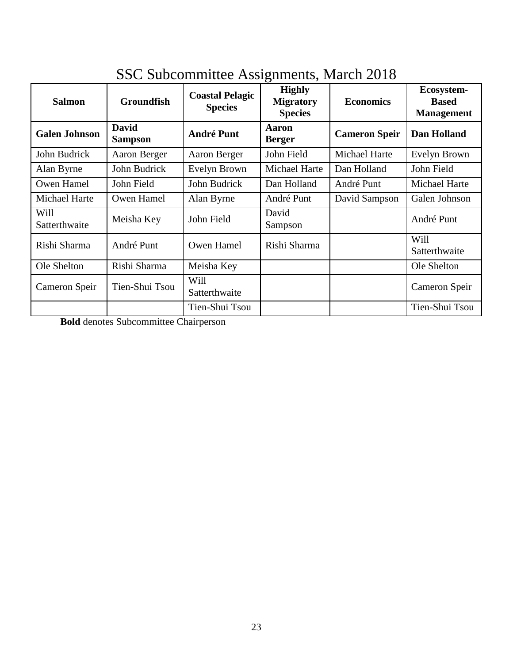| <b>Salmon</b>         | <b>Groundfish</b>              | <b>Coastal Pelagic</b><br><b>Species</b> | o<br><b>Highly</b><br><b>Migratory</b><br><b>Species</b> | <b>Economics</b>     | Ecosystem-<br><b>Based</b><br><b>Management</b> |  |
|-----------------------|--------------------------------|------------------------------------------|----------------------------------------------------------|----------------------|-------------------------------------------------|--|
| <b>Galen Johnson</b>  | <b>David</b><br><b>Sampson</b> | <b>André Punt</b>                        | <b>Aaron</b><br><b>Berger</b>                            | <b>Cameron Speir</b> | Dan Holland                                     |  |
| John Budrick          | Aaron Berger                   | Aaron Berger                             | John Field                                               | Michael Harte        | Evelyn Brown                                    |  |
| Alan Byrne            | John Budrick                   | Evelyn Brown                             | Michael Harte                                            | Dan Holland          | John Field                                      |  |
| Owen Hamel            | John Field                     | John Budrick                             | Dan Holland                                              | André Punt           | Michael Harte                                   |  |
| Michael Harte         | Owen Hamel                     | Alan Byrne                               | André Punt                                               | David Sampson        | Galen Johnson                                   |  |
| Will<br>Satterthwaite | Meisha Key                     | John Field                               | David<br>Sampson                                         |                      | André Punt                                      |  |
| Rishi Sharma          | André Punt                     | Owen Hamel                               | Rishi Sharma                                             |                      | Will<br>Satterthwaite                           |  |
| Ole Shelton           | Rishi Sharma                   | Meisha Key                               |                                                          |                      | Ole Shelton                                     |  |
| Cameron Speir         | Tien-Shui Tsou                 | Will<br>Satterthwaite                    |                                                          |                      | Cameron Speir                                   |  |
|                       |                                | Tien-Shui Tsou                           |                                                          |                      | Tien-Shui Tsou                                  |  |

# SSC Subcommittee Assignments, March 2018

**Bold** denotes Subcommittee Chairperson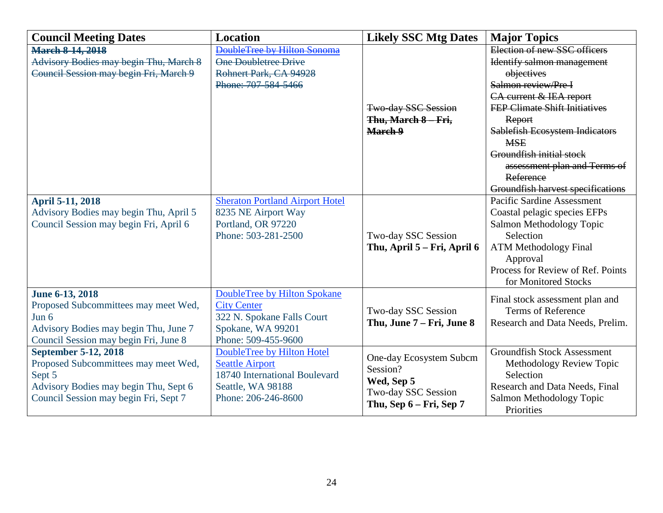| <b>Council Meeting Dates</b>                  | <b>Location</b>                        | <b>Likely SSC Mtg Dates</b> | <b>Major Topics</b>                   |
|-----------------------------------------------|----------------------------------------|-----------------------------|---------------------------------------|
| <b>March 8-14, 2018</b>                       | DoubleTree by Hilton Sonoma            |                             | Election of new SSC officers          |
| <b>Advisory Bodies may begin Thu, March 8</b> | One Doubletree Drive                   |                             | Identify salmon management            |
| Council Session may begin Fri, March 9        | Rohnert Park, CA 94928                 |                             | objectives                            |
|                                               | Phone: 707-584-5466                    |                             | Salmon review/Pre I                   |
|                                               |                                        |                             | CA current & IEA report               |
|                                               |                                        | Two-day SSC Session         | <b>FEP Climate Shift Initiatives</b>  |
|                                               |                                        | Thu, March 8 - Fri,         | Report                                |
|                                               |                                        | March 9                     | <b>Sablefish Ecosystem Indicators</b> |
|                                               |                                        |                             | <b>MSE</b>                            |
|                                               |                                        |                             | Groundfish initial stock              |
|                                               |                                        |                             | assessment plan and Terms of          |
|                                               |                                        |                             | Reference                             |
|                                               |                                        |                             | Groundfish harvest specifications     |
| <b>April 5-11, 2018</b>                       | <b>Sheraton Portland Airport Hotel</b> |                             | <b>Pacific Sardine Assessment</b>     |
| Advisory Bodies may begin Thu, April 5        | 8235 NE Airport Way                    |                             | Coastal pelagic species EFPs          |
| Council Session may begin Fri, April 6        | Portland, OR 97220                     |                             | Salmon Methodology Topic              |
|                                               | Phone: 503-281-2500                    | Two-day SSC Session         | Selection                             |
|                                               |                                        | Thu, April 5 – Fri, April 6 | <b>ATM Methodology Final</b>          |
|                                               |                                        |                             | Approval                              |
|                                               |                                        |                             | Process for Review of Ref. Points     |
|                                               |                                        |                             | for Monitored Stocks                  |
| June 6-13, 2018                               | <b>DoubleTree by Hilton Spokane</b>    |                             | Final stock assessment plan and       |
| Proposed Subcommittees may meet Wed,          | <b>City Center</b>                     | Two-day SSC Session         | <b>Terms of Reference</b>             |
| Jun $6$                                       | 322 N. Spokane Falls Court             | Thu, June 7 – Fri, June 8   | Research and Data Needs, Prelim.      |
| Advisory Bodies may begin Thu, June 7         | Spokane, WA 99201                      |                             |                                       |
| Council Session may begin Fri, June 8         | Phone: 509-455-9600                    |                             |                                       |
| September 5-12, 2018                          | DoubleTree by Hilton Hotel             | One-day Ecosystem Subcm     | <b>Groundfish Stock Assessment</b>    |
| Proposed Subcommittees may meet Wed,          | <b>Seattle Airport</b>                 | Session?                    | Methodology Review Topic              |
| Sept 5                                        | 18740 International Boulevard          | Wed, Sep 5                  | Selection                             |
| Advisory Bodies may begin Thu, Sept 6         | Seattle, WA 98188                      | Two-day SSC Session         | Research and Data Needs, Final        |
| Council Session may begin Fri, Sept 7         | Phone: 206-246-8600                    | Thu, Sep 6 - Fri, Sep 7     | Salmon Methodology Topic              |
|                                               |                                        |                             | Priorities                            |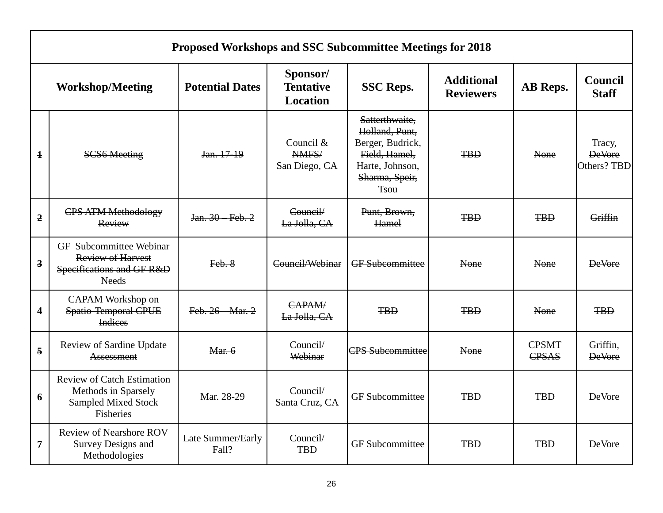|                         | <b>Proposed Workshops and SSC Subcommittee Meetings for 2018</b>                                        |                            |                                                 |                                                                                                                           |                                       |                       |                                        |  |  |
|-------------------------|---------------------------------------------------------------------------------------------------------|----------------------------|-------------------------------------------------|---------------------------------------------------------------------------------------------------------------------------|---------------------------------------|-----------------------|----------------------------------------|--|--|
| <b>Workshop/Meeting</b> |                                                                                                         | <b>Potential Dates</b>     | Sponsor/<br><b>Tentative</b><br><b>Location</b> | <b>SSC Reps.</b>                                                                                                          | <b>Additional</b><br><b>Reviewers</b> | AB Reps.              | Council<br><b>Staff</b>                |  |  |
| $\mathbf{1}$            | <b>SCS6 Meeting</b>                                                                                     | Jan. 17-19                 | Council &<br>NMFS/<br>San Diego, CA             | Satterthwaite,<br>Holland, Punt,<br>Berger, Budrick,<br>Field, Hamel,<br>Harte, Johnson,<br>Sharma, Speir,<br><b>Tsou</b> | <b>TBD</b>                            | None                  | Tracy,<br><b>DeVore</b><br>Others? TBD |  |  |
| $\overline{2}$          | <b>CPS ATM Methodology</b><br>Review                                                                    | Jan. 30 Feb. 2             | Council/<br>La Jolla, CA                        | Punt, Brown,<br>Hamel                                                                                                     | <b>TBD</b>                            | <b>TBD</b>            | Griffin                                |  |  |
| $\overline{\mathbf{3}}$ | <b>GF</b> Subcommittee Webinar<br><b>Review of Harvest</b><br>Specifications and GF R&D<br><b>Needs</b> | Feb. 8                     | Council/Webinar                                 | <b>GF</b> Subcommittee                                                                                                    | None                                  | None                  | <b>DeVore</b>                          |  |  |
| $\overline{\mathbf{4}}$ | <b>CAPAM Workshop on</b><br><b>Spatio-Temporal CPUE</b><br><b>Indices</b>                               | Feb. 26 - Mar. 2           | CAPAM/<br>La Jolla, CA                          | <b>TBD</b>                                                                                                                | <b>TBD</b>                            | None                  | <b>TBD</b>                             |  |  |
| 5                       | <b>Review of Sardine Update</b><br>Assessment                                                           | Mar. 6                     | Council/<br>Webinar                             | <b>CPS Subcommittee</b>                                                                                                   | None                                  | <b>CPSMT</b><br>CPSAS | Griffin,<br><b>DeVore</b>              |  |  |
| 6                       | <b>Review of Catch Estimation</b><br>Methods in Sparsely<br><b>Sampled Mixed Stock</b><br>Fisheries     | Mar. 28-29                 | Council/<br>Santa Cruz, CA                      | <b>GF</b> Subcommittee                                                                                                    | <b>TBD</b>                            | <b>TBD</b>            | DeVore                                 |  |  |
| 7                       | <b>Review of Nearshore ROV</b><br><b>Survey Designs and</b><br>Methodologies                            | Late Summer/Early<br>Fall? | Council/<br><b>TBD</b>                          | <b>GF</b> Subcommittee                                                                                                    | <b>TBD</b>                            | <b>TBD</b>            | <b>DeVore</b>                          |  |  |